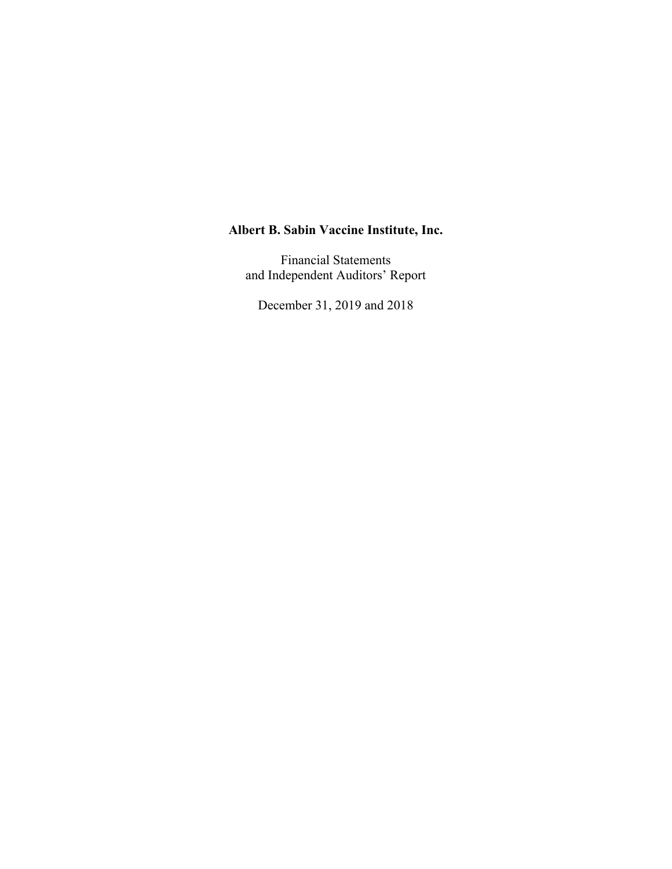Financial Statements and Independent Auditors' Report

December 31, 2019 and 2018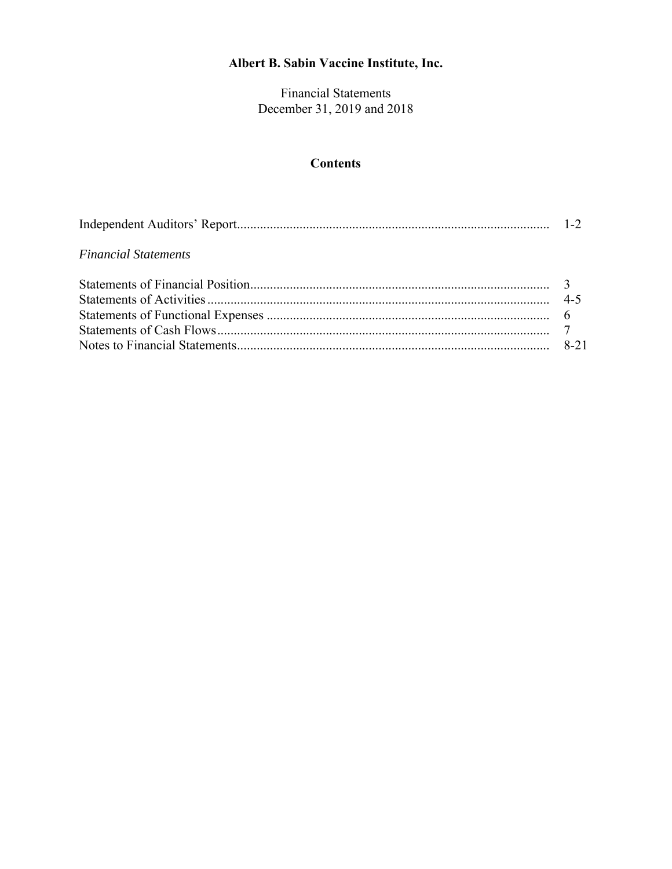Financial Statements December 31, 2019 and 2018

## **Contents**

| <b>Financial Statements</b> |  |
|-----------------------------|--|
|                             |  |
|                             |  |
|                             |  |
|                             |  |
|                             |  |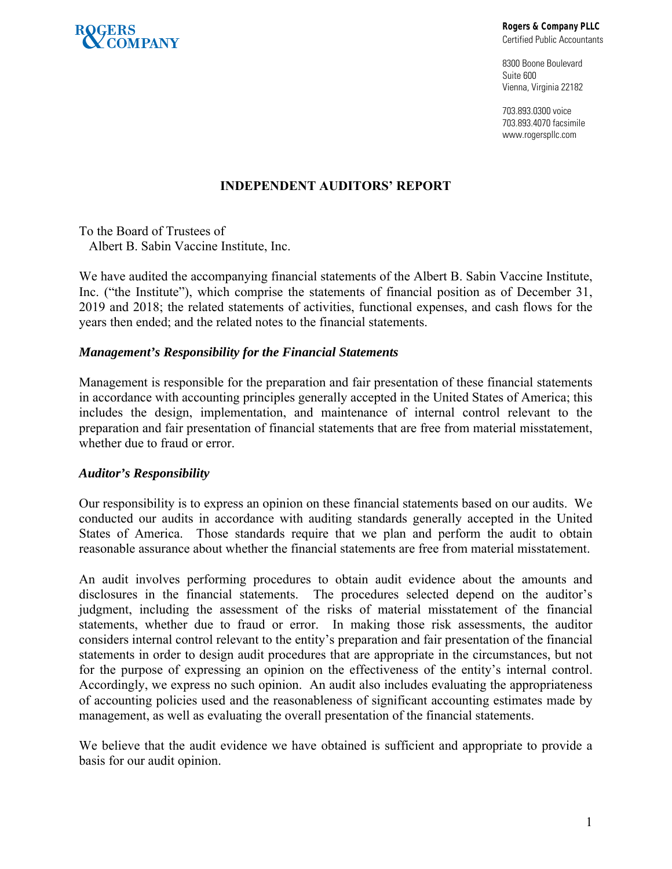

**Rogers & Company PLLC** 

Certified Public Accountants

8300 Boone Boulevard Suite 600 Vienna, Virginia 22182

703.893.0300 voice 703.893.4070 facsimile www.rogerspllc.com

## **INDEPENDENT AUDITORS' REPORT**

To the Board of Trustees of Albert B. Sabin Vaccine Institute, Inc.

We have audited the accompanying financial statements of the Albert B. Sabin Vaccine Institute, Inc. ("the Institute"), which comprise the statements of financial position as of December 31, 2019 and 2018; the related statements of activities, functional expenses, and cash flows for the years then ended; and the related notes to the financial statements.

#### *Management's Responsibility for the Financial Statements*

Management is responsible for the preparation and fair presentation of these financial statements in accordance with accounting principles generally accepted in the United States of America; this includes the design, implementation, and maintenance of internal control relevant to the preparation and fair presentation of financial statements that are free from material misstatement, whether due to fraud or error.

## *Auditor's Responsibility*

Our responsibility is to express an opinion on these financial statements based on our audits. We conducted our audits in accordance with auditing standards generally accepted in the United States of America. Those standards require that we plan and perform the audit to obtain reasonable assurance about whether the financial statements are free from material misstatement.

An audit involves performing procedures to obtain audit evidence about the amounts and disclosures in the financial statements. The procedures selected depend on the auditor's judgment, including the assessment of the risks of material misstatement of the financial statements, whether due to fraud or error. In making those risk assessments, the auditor considers internal control relevant to the entity's preparation and fair presentation of the financial statements in order to design audit procedures that are appropriate in the circumstances, but not for the purpose of expressing an opinion on the effectiveness of the entity's internal control. Accordingly, we express no such opinion. An audit also includes evaluating the appropriateness of accounting policies used and the reasonableness of significant accounting estimates made by management, as well as evaluating the overall presentation of the financial statements.

We believe that the audit evidence we have obtained is sufficient and appropriate to provide a basis for our audit opinion.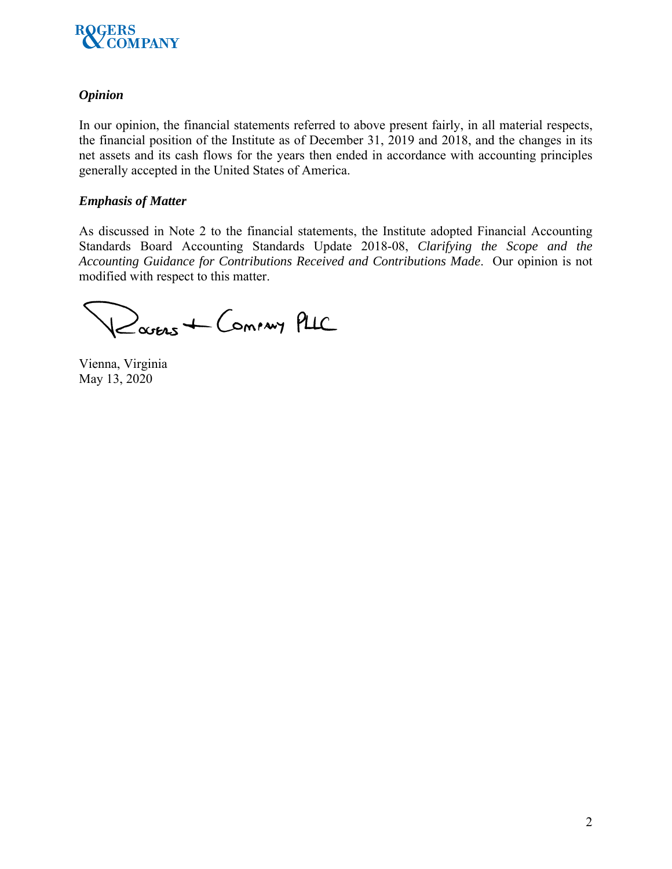

## *Opinion*

In our opinion, the financial statements referred to above present fairly, in all material respects, the financial position of the Institute as of December 31, 2019 and 2018, and the changes in its net assets and its cash flows for the years then ended in accordance with accounting principles generally accepted in the United States of America.

## *Emphasis of Matter*

As discussed in Note 2 to the financial statements, the Institute adopted Financial Accounting Standards Board Accounting Standards Update 2018-08, *Clarifying the Scope and the Accounting Guidance for Contributions Received and Contributions Made*. Our opinion is not modified with respect to this matter.

Rouers + Coming PLIC

Vienna, Virginia May 13, 2020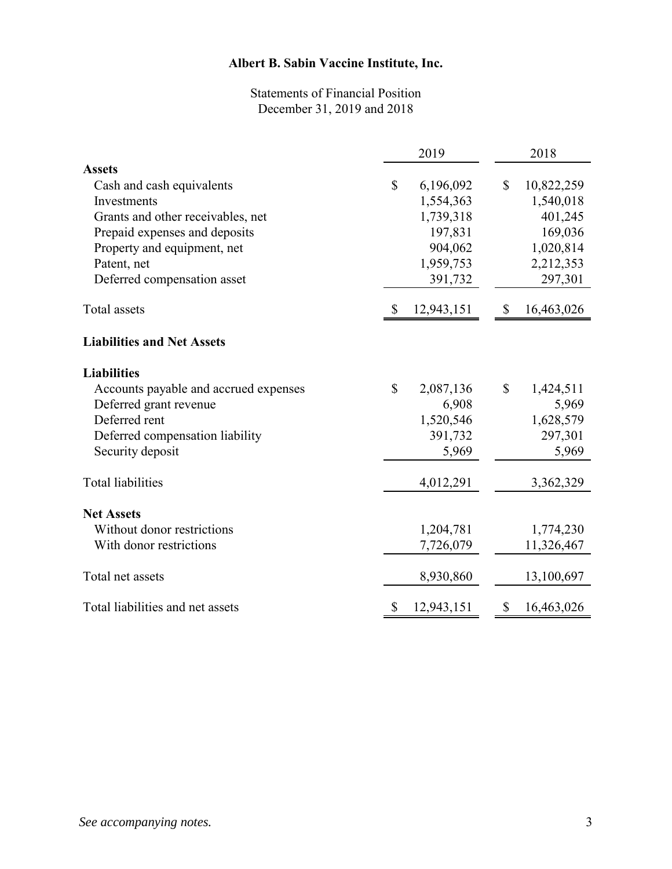## Statements of Financial Position December 31, 2019 and 2018

|                                       |              | 2019       |              | 2018       |
|---------------------------------------|--------------|------------|--------------|------------|
| <b>Assets</b>                         |              |            |              |            |
| Cash and cash equivalents             | \$           | 6,196,092  | \$           | 10,822,259 |
| Investments                           |              | 1,554,363  |              | 1,540,018  |
| Grants and other receivables, net     |              | 1,739,318  |              | 401,245    |
| Prepaid expenses and deposits         |              | 197,831    |              | 169,036    |
| Property and equipment, net           |              | 904,062    |              | 1,020,814  |
| Patent, net                           |              | 1,959,753  |              | 2,212,353  |
| Deferred compensation asset           |              | 391,732    |              | 297,301    |
| Total assets                          | S            | 12,943,151 | \$           | 16,463,026 |
| <b>Liabilities and Net Assets</b>     |              |            |              |            |
| <b>Liabilities</b>                    |              |            |              |            |
| Accounts payable and accrued expenses | $\mathbb{S}$ | 2,087,136  | $\mathbb{S}$ | 1,424,511  |
| Deferred grant revenue                |              | 6,908      |              | 5,969      |
| Deferred rent                         |              | 1,520,546  |              | 1,628,579  |
| Deferred compensation liability       |              | 391,732    |              | 297,301    |
| Security deposit                      |              | 5,969      |              | 5,969      |
| <b>Total liabilities</b>              |              | 4,012,291  |              | 3,362,329  |
| <b>Net Assets</b>                     |              |            |              |            |
| Without donor restrictions            |              | 1,204,781  |              | 1,774,230  |
| With donor restrictions               |              | 7,726,079  |              | 11,326,467 |
| Total net assets                      |              | 8,930,860  |              | 13,100,697 |
| Total liabilities and net assets      | S            | 12,943,151 | \$           | 16,463,026 |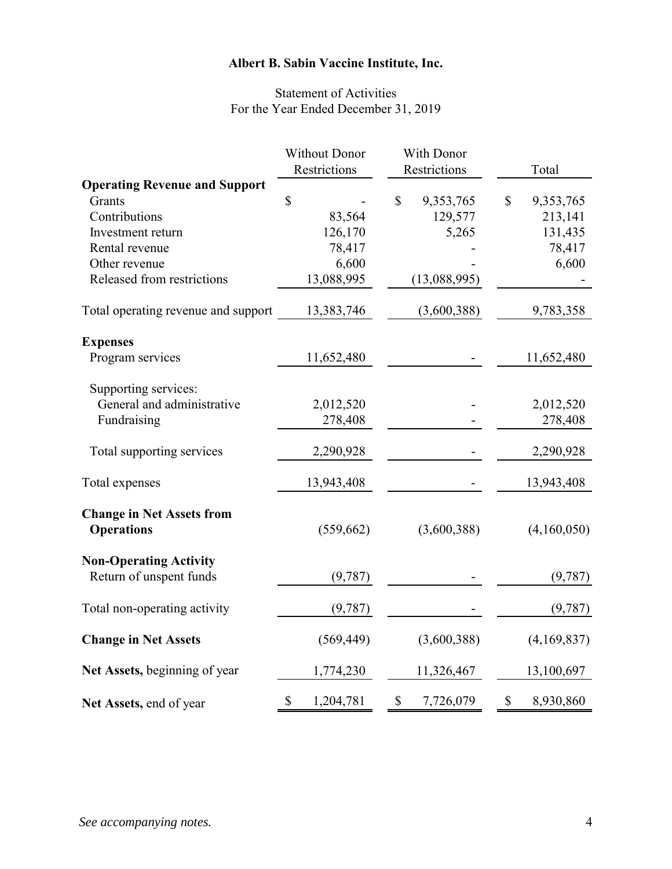## Statement of Activities For the Year Ended December 31, 2019

|                                                       | <b>Without Donor</b> | With Donor                             |                           |
|-------------------------------------------------------|----------------------|----------------------------------------|---------------------------|
|                                                       | Restrictions         | Restrictions                           | Total                     |
| <b>Operating Revenue and Support</b>                  |                      |                                        |                           |
| Grants                                                | \$                   | $\mathbb{S}$<br>9,353,765              | $\mathbb{S}$<br>9,353,765 |
| Contributions                                         | 83,564               | 129,577                                | 213,141                   |
| Investment return                                     | 126,170              | 5,265                                  | 131,435                   |
| Rental revenue                                        | 78,417               |                                        | 78,417                    |
| Other revenue                                         | 6,600                |                                        | 6,600                     |
| Released from restrictions                            | 13,088,995           | (13,088,995)                           |                           |
| Total operating revenue and support                   | 13,383,746           | (3,600,388)                            | 9,783,358                 |
| <b>Expenses</b>                                       |                      |                                        |                           |
| Program services                                      | 11,652,480           |                                        | 11,652,480                |
| Supporting services:                                  |                      |                                        |                           |
| General and administrative                            | 2,012,520            |                                        | 2,012,520                 |
| Fundraising                                           | 278,408              |                                        | 278,408                   |
| Total supporting services                             | 2,290,928            |                                        | 2,290,928                 |
| Total expenses                                        | 13,943,408           |                                        | 13,943,408                |
| <b>Change in Net Assets from</b><br><b>Operations</b> |                      | (3,600,388)                            | (4,160,050)               |
|                                                       | (559, 662)           |                                        |                           |
| <b>Non-Operating Activity</b>                         |                      |                                        |                           |
| Return of unspent funds                               | (9,787)              |                                        | (9, 787)                  |
| Total non-operating activity                          | (9, 787)             |                                        | (9, 787)                  |
| <b>Change in Net Assets</b>                           | (569, 449)           | (3,600,388)                            | (4,169,837)               |
| Net Assets, beginning of year                         | 1,774,230            | 11,326,467                             | 13,100,697                |
| Net Assets, end of year                               | \$<br>1,204,781      | $\boldsymbol{\mathsf{S}}$<br>7,726,079 | \$<br>8,930,860           |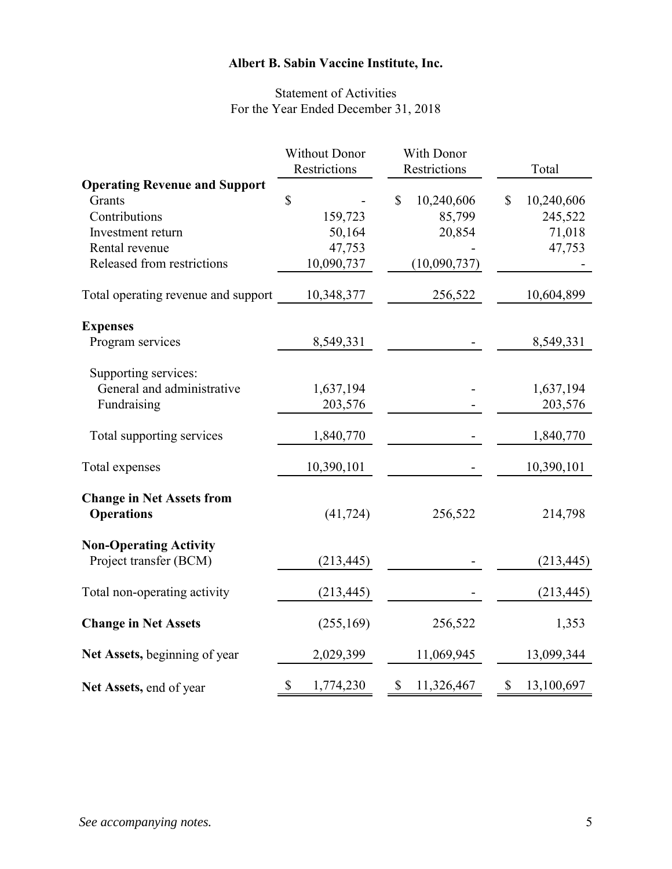## Statement of Activities For the Year Ended December 31, 2018

|                                                       | <b>Without Donor</b> | With Donor       |                  |
|-------------------------------------------------------|----------------------|------------------|------------------|
|                                                       | Restrictions         | Restrictions     | Total            |
| <b>Operating Revenue and Support</b>                  |                      |                  |                  |
| Grants                                                | \$                   | \$<br>10,240,606 | \$<br>10,240,606 |
| Contributions                                         | 159,723              | 85,799           | 245,522          |
| Investment return                                     | 50,164               | 20,854           | 71,018           |
| Rental revenue                                        | 47,753               |                  | 47,753           |
| Released from restrictions                            | 10,090,737           | (10,090,737)     |                  |
| Total operating revenue and support                   | 10,348,377           | 256,522          | 10,604,899       |
| <b>Expenses</b>                                       |                      |                  |                  |
| Program services                                      | 8,549,331            |                  | 8,549,331        |
| Supporting services:                                  |                      |                  |                  |
| General and administrative                            | 1,637,194            |                  | 1,637,194        |
| Fundraising                                           | 203,576              |                  | 203,576          |
|                                                       |                      |                  |                  |
| Total supporting services                             | 1,840,770            |                  | 1,840,770        |
| Total expenses                                        | 10,390,101           |                  | 10,390,101       |
| <b>Change in Net Assets from</b><br><b>Operations</b> | (41, 724)            | 256,522          | 214,798          |
| <b>Non-Operating Activity</b>                         |                      |                  |                  |
| Project transfer (BCM)                                | (213, 445)           |                  | (213, 445)       |
| Total non-operating activity                          | (213, 445)           |                  | (213, 445)       |
| <b>Change in Net Assets</b>                           | (255, 169)           | 256,522          | 1,353            |
| Net Assets, beginning of year                         | 2,029,399            | 11,069,945       | 13,099,344       |
| Net Assets, end of year                               | \$<br>1,774,230      | \$<br>11,326,467 | \$<br>13,100,697 |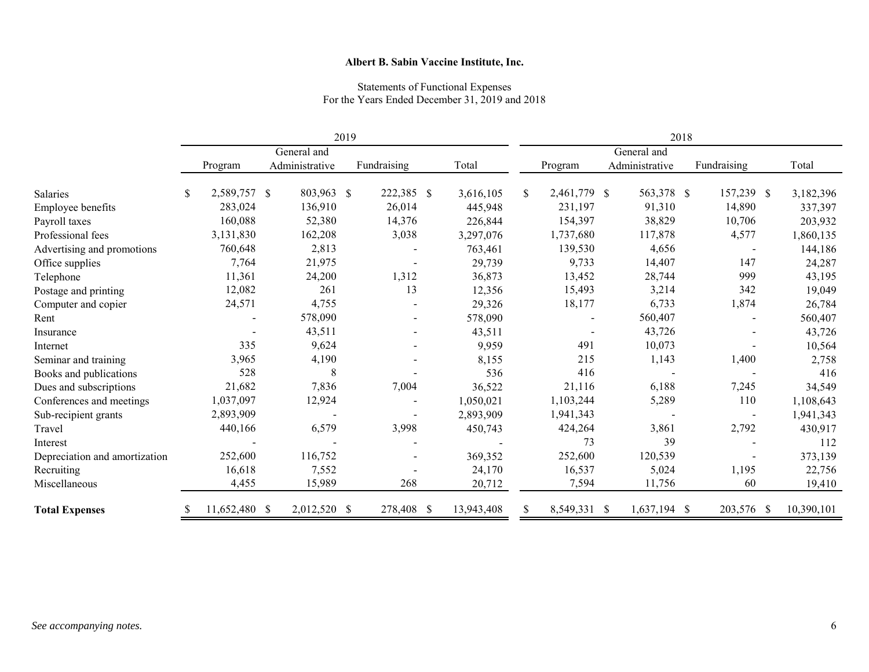#### Statements of Functional Expenses For the Years Ended December 31, 2019 and 2018

|                               | 2019        |               |  |                |              |             | 2018       |    |              |  |                |             |                          |  |            |
|-------------------------------|-------------|---------------|--|----------------|--------------|-------------|------------|----|--------------|--|----------------|-------------|--------------------------|--|------------|
|                               | General and |               |  |                |              | General and |            |    |              |  |                |             |                          |  |            |
|                               |             | Program       |  | Administrative |              | Fundraising | Total      |    | Program      |  | Administrative | Fundraising |                          |  | Total      |
| Salaries                      | \$          | 2,589,757 \$  |  | 803,963        | $\mathbb{S}$ | 222,385 \$  | 3,616,105  | \$ | 2,461,779 \$ |  | 563,378 \$     |             | 157,239 \$               |  | 3,182,396  |
| Employee benefits             |             | 283,024       |  | 136,910        |              | 26,014      | 445,948    |    | 231,197      |  | 91,310         |             | 14,890                   |  | 337,397    |
| Payroll taxes                 |             | 160,088       |  | 52,380         |              | 14,376      | 226,844    |    | 154,397      |  | 38,829         |             | 10,706                   |  | 203,932    |
| Professional fees             |             | 3,131,830     |  | 162,208        |              | 3,038       | 3,297,076  |    | 1,737,680    |  | 117,878        |             | 4,577                    |  | 1,860,135  |
| Advertising and promotions    |             | 760,648       |  | 2,813          |              |             | 763,461    |    | 139,530      |  | 4,656          |             | $\overline{\phantom{a}}$ |  | 144,186    |
| Office supplies               |             | 7,764         |  | 21,975         |              |             | 29,739     |    | 9,733        |  | 14,407         |             | 147                      |  | 24,287     |
| Telephone                     |             | 11,361        |  | 24,200         |              | 1,312       | 36,873     |    | 13,452       |  | 28,744         |             | 999                      |  | 43,195     |
| Postage and printing          |             | 12,082        |  | 261            |              | 13          | 12,356     |    | 15,493       |  | 3,214          |             | 342                      |  | 19,049     |
| Computer and copier           |             | 24,571        |  | 4,755          |              |             | 29,326     |    | 18,177       |  | 6,733          |             | 1,874                    |  | 26,784     |
| Rent                          |             |               |  | 578,090        |              |             | 578,090    |    |              |  | 560,407        |             |                          |  | 560,407    |
| Insurance                     |             |               |  | 43,511         |              | $\sim$      | 43,511     |    |              |  | 43,726         |             |                          |  | 43,726     |
| Internet                      |             | 335           |  | 9,624          |              |             | 9,959      |    | 491          |  | 10,073         |             |                          |  | 10,564     |
| Seminar and training          |             | 3,965         |  | 4,190          |              |             | 8,155      |    | 215          |  | 1,143          |             | 1,400                    |  | 2,758      |
| Books and publications        |             | 528           |  | 8              |              |             | 536        |    | 416          |  |                |             |                          |  | 416        |
| Dues and subscriptions        |             | 21,682        |  | 7,836          |              | 7,004       | 36,522     |    | 21,116       |  | 6,188          |             | 7,245                    |  | 34,549     |
| Conferences and meetings      |             | 1,037,097     |  | 12,924         |              |             | 1,050,021  |    | 1,103,244    |  | 5,289          |             | 110                      |  | 1,108,643  |
| Sub-recipient grants          |             | 2,893,909     |  |                |              |             | 2,893,909  |    | 1,941,343    |  |                |             | $\overline{\phantom{a}}$ |  | 1,941,343  |
| Travel                        |             | 440,166       |  | 6,579          |              | 3,998       | 450,743    |    | 424,264      |  | 3,861          |             | 2,792                    |  | 430,917    |
| Interest                      |             |               |  |                |              |             |            |    | 73           |  | 39             |             |                          |  | 112        |
| Depreciation and amortization |             | 252,600       |  | 116,752        |              |             | 369,352    |    | 252,600      |  | 120,539        |             |                          |  | 373,139    |
| Recruiting                    |             | 16,618        |  | 7,552          |              |             | 24,170     |    | 16,537       |  | 5,024          |             | 1,195                    |  | 22,756     |
| Miscellaneous                 |             | 4,455         |  | 15,989         |              | 268         | 20,712     |    | 7,594        |  | 11,756         |             | 60                       |  | 19,410     |
| <b>Total Expenses</b>         |             | 11,652,480 \$ |  | 2,012,520 \$   |              | 278,408 \$  | 13,943,408 |    | 8,549,331 \$ |  | 1,637,194 \$   |             | 203,576 \$               |  | 10,390,101 |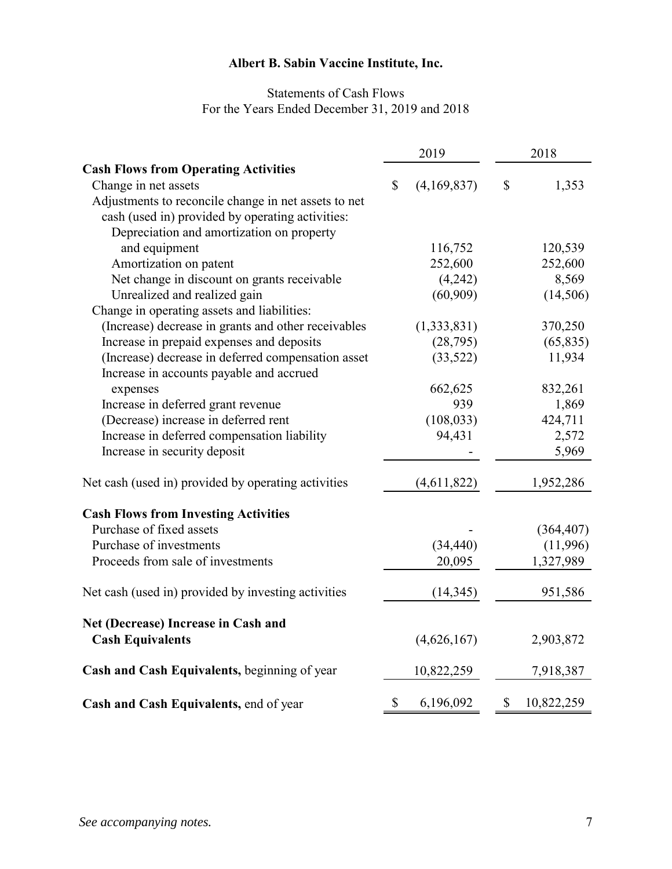## Statements of Cash Flows For the Years Ended December 31, 2019 and 2018

|                                                      |                           | 2019        | 2018                      |            |  |  |
|------------------------------------------------------|---------------------------|-------------|---------------------------|------------|--|--|
| <b>Cash Flows from Operating Activities</b>          |                           |             |                           |            |  |  |
| Change in net assets                                 | $\mathbb{S}$              | (4,169,837) | \$                        | 1,353      |  |  |
| Adjustments to reconcile change in net assets to net |                           |             |                           |            |  |  |
| cash (used in) provided by operating activities:     |                           |             |                           |            |  |  |
| Depreciation and amortization on property            |                           |             |                           |            |  |  |
| and equipment                                        |                           | 116,752     |                           | 120,539    |  |  |
| Amortization on patent                               |                           | 252,600     |                           | 252,600    |  |  |
| Net change in discount on grants receivable          |                           | (4,242)     |                           | 8,569      |  |  |
| Unrealized and realized gain                         |                           | (60, 909)   |                           | (14,506)   |  |  |
| Change in operating assets and liabilities:          |                           |             |                           |            |  |  |
| (Increase) decrease in grants and other receivables  |                           | (1,333,831) |                           | 370,250    |  |  |
| Increase in prepaid expenses and deposits            |                           | (28,795)    |                           | (65, 835)  |  |  |
| (Increase) decrease in deferred compensation asset   |                           | (33,522)    |                           | 11,934     |  |  |
| Increase in accounts payable and accrued             |                           |             |                           |            |  |  |
| expenses                                             |                           | 662,625     |                           | 832,261    |  |  |
| Increase in deferred grant revenue                   |                           | 939         |                           | 1,869      |  |  |
| (Decrease) increase in deferred rent                 |                           | (108, 033)  |                           | 424,711    |  |  |
| Increase in deferred compensation liability          |                           | 94,431      |                           | 2,572      |  |  |
| Increase in security deposit                         |                           |             |                           | 5,969      |  |  |
| Net cash (used in) provided by operating activities  |                           | (4,611,822) |                           | 1,952,286  |  |  |
| <b>Cash Flows from Investing Activities</b>          |                           |             |                           |            |  |  |
| Purchase of fixed assets                             |                           |             |                           | (364, 407) |  |  |
| Purchase of investments                              |                           | (34, 440)   |                           | (11,996)   |  |  |
| Proceeds from sale of investments                    |                           | 20,095      |                           | 1,327,989  |  |  |
|                                                      |                           |             |                           |            |  |  |
| Net cash (used in) provided by investing activities  |                           | (14, 345)   |                           | 951,586    |  |  |
| Net (Decrease) Increase in Cash and                  |                           |             |                           |            |  |  |
| <b>Cash Equivalents</b>                              |                           | (4,626,167) |                           | 2,903,872  |  |  |
| Cash and Cash Equivalents, beginning of year         |                           | 10,822,259  |                           | 7,918,387  |  |  |
| Cash and Cash Equivalents, end of year               | $\boldsymbol{\mathsf{S}}$ | 6,196,092   | $\boldsymbol{\mathsf{S}}$ | 10,822,259 |  |  |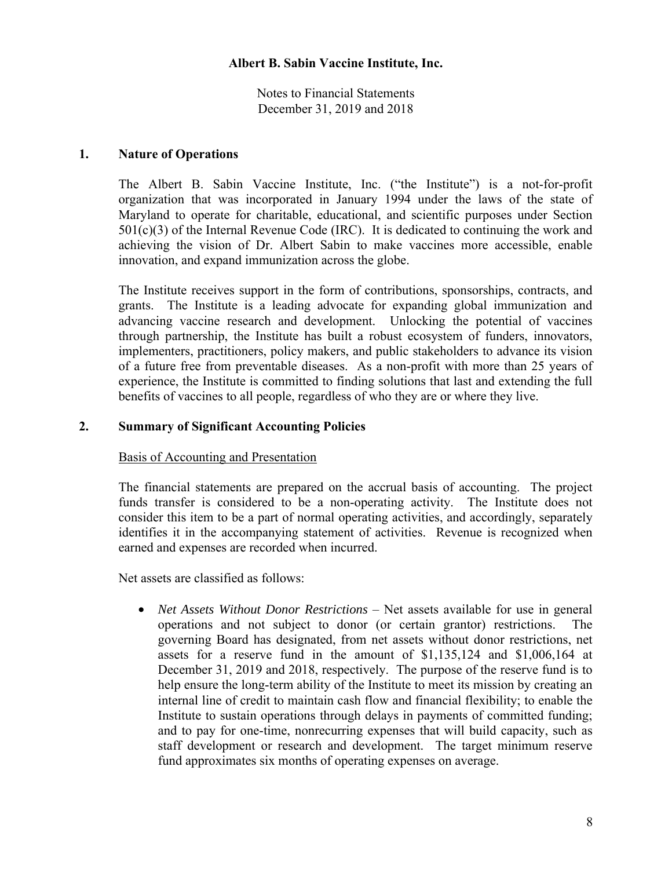Notes to Financial Statements December 31, 2019 and 2018

### **1. Nature of Operations**

The Albert B. Sabin Vaccine Institute, Inc. ("the Institute") is a not-for-profit organization that was incorporated in January 1994 under the laws of the state of Maryland to operate for charitable, educational, and scientific purposes under Section  $501(c)(3)$  of the Internal Revenue Code (IRC). It is dedicated to continuing the work and achieving the vision of Dr. Albert Sabin to make vaccines more accessible, enable innovation, and expand immunization across the globe.

The Institute receives support in the form of contributions, sponsorships, contracts, and grants. The Institute is a leading advocate for expanding global immunization and advancing vaccine research and development. Unlocking the potential of vaccines through partnership, the Institute has built a robust ecosystem of funders, innovators, implementers, practitioners, policy makers, and public stakeholders to advance its vision of a future free from preventable diseases. As a non-profit with more than 25 years of experience, the Institute is committed to finding solutions that last and extending the full benefits of vaccines to all people, regardless of who they are or where they live.

## **2. Summary of Significant Accounting Policies**

#### Basis of Accounting and Presentation

The financial statements are prepared on the accrual basis of accounting. The project funds transfer is considered to be a non-operating activity. The Institute does not consider this item to be a part of normal operating activities, and accordingly, separately identifies it in the accompanying statement of activities. Revenue is recognized when earned and expenses are recorded when incurred.

Net assets are classified as follows:

• *Net Assets Without Donor Restrictions* – Net assets available for use in general operations and not subject to donor (or certain grantor) restrictions. The governing Board has designated, from net assets without donor restrictions, net assets for a reserve fund in the amount of \$1,135,124 and \$1,006,164 at December 31, 2019 and 2018, respectively. The purpose of the reserve fund is to help ensure the long-term ability of the Institute to meet its mission by creating an internal line of credit to maintain cash flow and financial flexibility; to enable the Institute to sustain operations through delays in payments of committed funding; and to pay for one-time, nonrecurring expenses that will build capacity, such as staff development or research and development. The target minimum reserve fund approximates six months of operating expenses on average.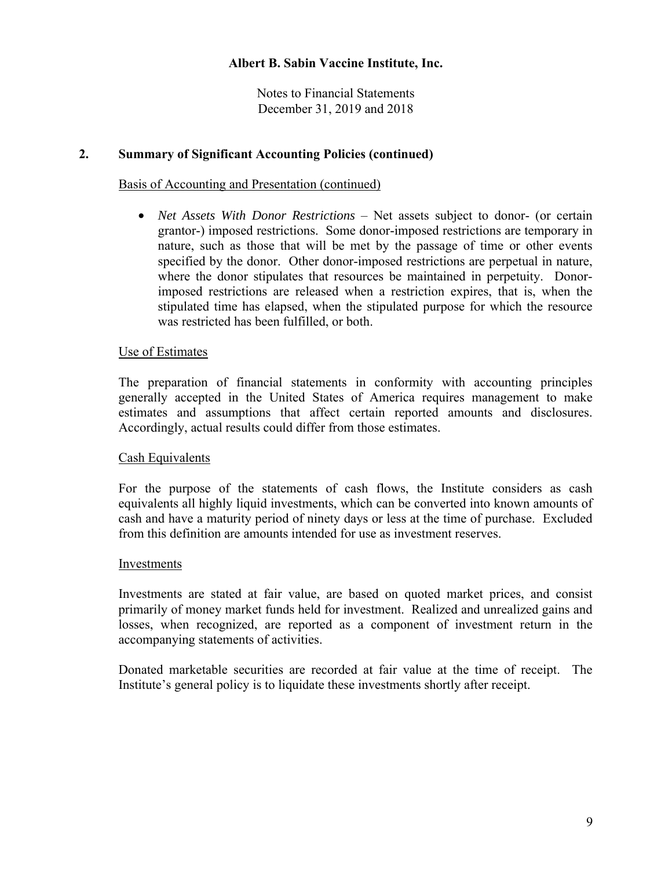Notes to Financial Statements December 31, 2019 and 2018

## **2. Summary of Significant Accounting Policies (continued)**

### Basis of Accounting and Presentation (continued)

• *Net Assets With Donor Restrictions* – Net assets subject to donor- (or certain grantor-) imposed restrictions. Some donor-imposed restrictions are temporary in nature, such as those that will be met by the passage of time or other events specified by the donor. Other donor-imposed restrictions are perpetual in nature, where the donor stipulates that resources be maintained in perpetuity. Donorimposed restrictions are released when a restriction expires, that is, when the stipulated time has elapsed, when the stipulated purpose for which the resource was restricted has been fulfilled, or both.

#### Use of Estimates

The preparation of financial statements in conformity with accounting principles generally accepted in the United States of America requires management to make estimates and assumptions that affect certain reported amounts and disclosures. Accordingly, actual results could differ from those estimates.

#### Cash Equivalents

For the purpose of the statements of cash flows, the Institute considers as cash equivalents all highly liquid investments, which can be converted into known amounts of cash and have a maturity period of ninety days or less at the time of purchase. Excluded from this definition are amounts intended for use as investment reserves.

#### Investments

Investments are stated at fair value, are based on quoted market prices, and consist primarily of money market funds held for investment. Realized and unrealized gains and losses, when recognized, are reported as a component of investment return in the accompanying statements of activities.

Donated marketable securities are recorded at fair value at the time of receipt. The Institute's general policy is to liquidate these investments shortly after receipt.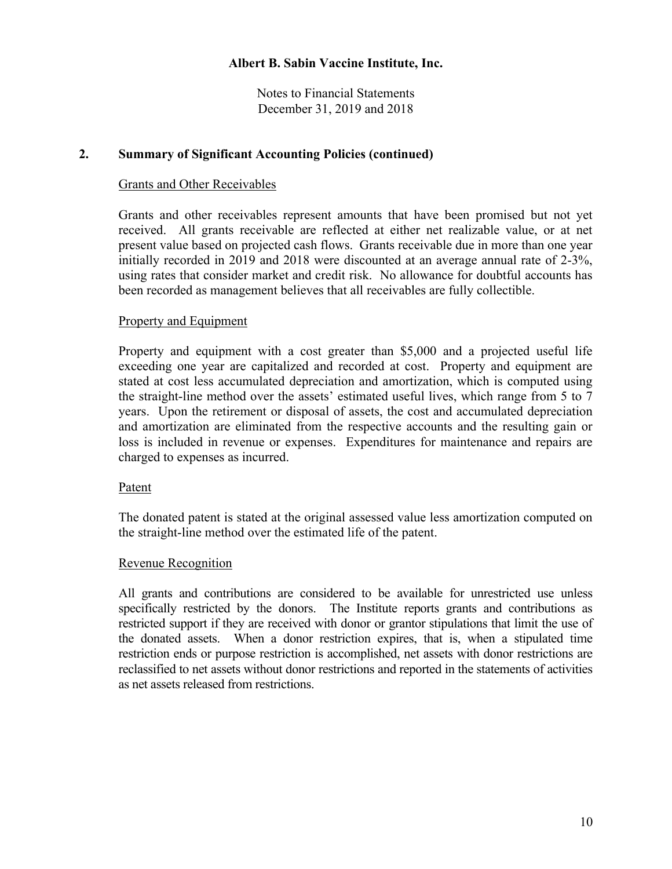Notes to Financial Statements December 31, 2019 and 2018

## **2. Summary of Significant Accounting Policies (continued)**

#### Grants and Other Receivables

Grants and other receivables represent amounts that have been promised but not yet received. All grants receivable are reflected at either net realizable value, or at net present value based on projected cash flows. Grants receivable due in more than one year initially recorded in 2019 and 2018 were discounted at an average annual rate of 2-3%, using rates that consider market and credit risk. No allowance for doubtful accounts has been recorded as management believes that all receivables are fully collectible.

## Property and Equipment

Property and equipment with a cost greater than \$5,000 and a projected useful life exceeding one year are capitalized and recorded at cost. Property and equipment are stated at cost less accumulated depreciation and amortization, which is computed using the straight-line method over the assets' estimated useful lives, which range from 5 to 7 years. Upon the retirement or disposal of assets, the cost and accumulated depreciation and amortization are eliminated from the respective accounts and the resulting gain or loss is included in revenue or expenses. Expenditures for maintenance and repairs are charged to expenses as incurred.

#### Patent

The donated patent is stated at the original assessed value less amortization computed on the straight-line method over the estimated life of the patent.

#### Revenue Recognition

All grants and contributions are considered to be available for unrestricted use unless specifically restricted by the donors. The Institute reports grants and contributions as restricted support if they are received with donor or grantor stipulations that limit the use of the donated assets. When a donor restriction expires, that is, when a stipulated time restriction ends or purpose restriction is accomplished, net assets with donor restrictions are reclassified to net assets without donor restrictions and reported in the statements of activities as net assets released from restrictions.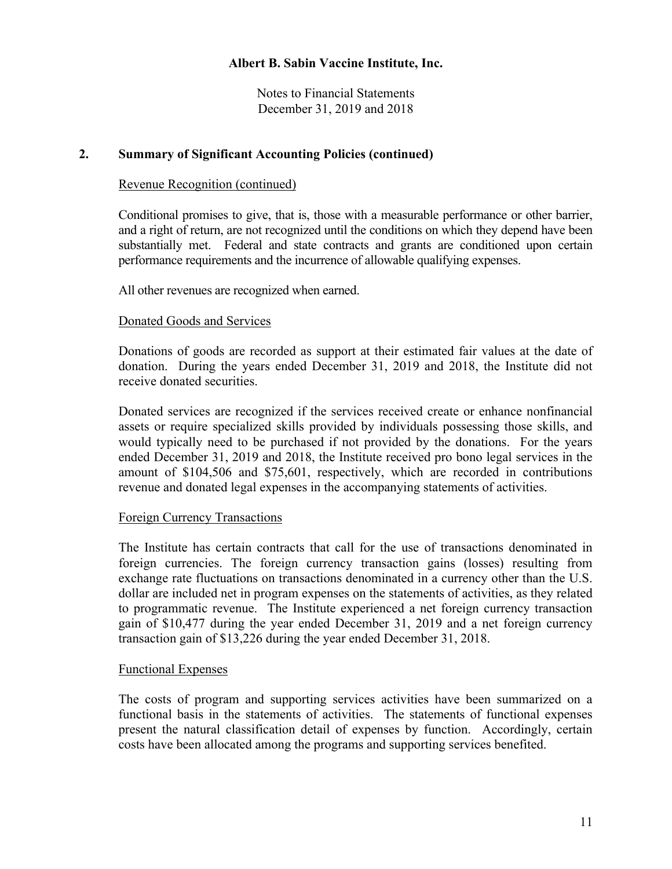Notes to Financial Statements December 31, 2019 and 2018

## **2. Summary of Significant Accounting Policies (continued)**

### Revenue Recognition (continued)

Conditional promises to give, that is, those with a measurable performance or other barrier, and a right of return, are not recognized until the conditions on which they depend have been substantially met. Federal and state contracts and grants are conditioned upon certain performance requirements and the incurrence of allowable qualifying expenses.

All other revenues are recognized when earned.

## Donated Goods and Services

Donations of goods are recorded as support at their estimated fair values at the date of donation. During the years ended December 31, 2019 and 2018, the Institute did not receive donated securities.

Donated services are recognized if the services received create or enhance nonfinancial assets or require specialized skills provided by individuals possessing those skills, and would typically need to be purchased if not provided by the donations. For the years ended December 31, 2019 and 2018, the Institute received pro bono legal services in the amount of \$104,506 and \$75,601, respectively, which are recorded in contributions revenue and donated legal expenses in the accompanying statements of activities.

#### Foreign Currency Transactions

The Institute has certain contracts that call for the use of transactions denominated in foreign currencies. The foreign currency transaction gains (losses) resulting from exchange rate fluctuations on transactions denominated in a currency other than the U.S. dollar are included net in program expenses on the statements of activities, as they related to programmatic revenue. The Institute experienced a net foreign currency transaction gain of \$10,477 during the year ended December 31, 2019 and a net foreign currency transaction gain of \$13,226 during the year ended December 31, 2018.

## Functional Expenses

The costs of program and supporting services activities have been summarized on a functional basis in the statements of activities. The statements of functional expenses present the natural classification detail of expenses by function. Accordingly, certain costs have been allocated among the programs and supporting services benefited.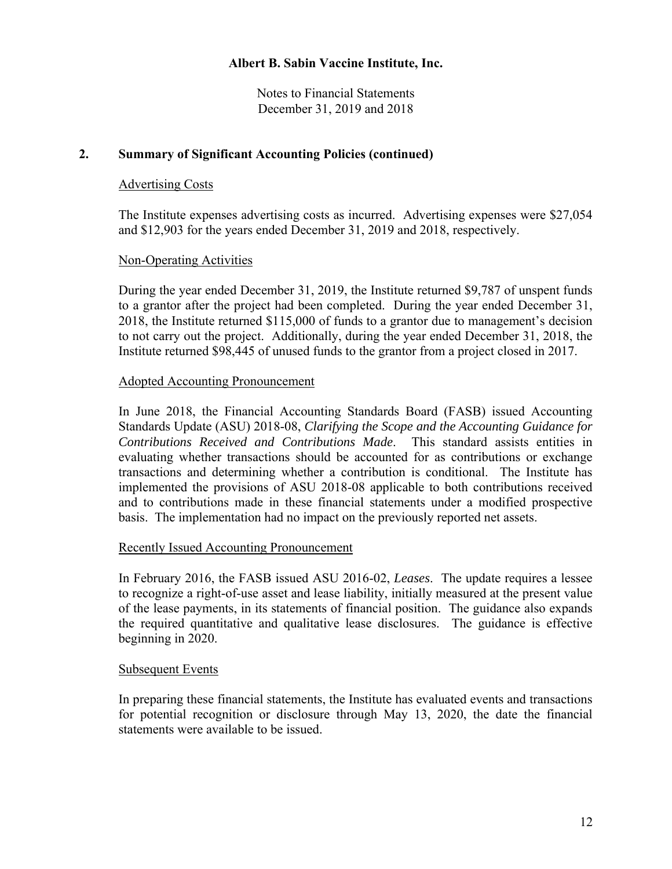Notes to Financial Statements December 31, 2019 and 2018

## **2. Summary of Significant Accounting Policies (continued)**

### Advertising Costs

The Institute expenses advertising costs as incurred. Advertising expenses were \$27,054 and \$12,903 for the years ended December 31, 2019 and 2018, respectively.

## Non-Operating Activities

During the year ended December 31, 2019, the Institute returned \$9,787 of unspent funds to a grantor after the project had been completed. During the year ended December 31, 2018, the Institute returned \$115,000 of funds to a grantor due to management's decision to not carry out the project. Additionally, during the year ended December 31, 2018, the Institute returned \$98,445 of unused funds to the grantor from a project closed in 2017.

#### Adopted Accounting Pronouncement

In June 2018, the Financial Accounting Standards Board (FASB) issued Accounting Standards Update (ASU) 2018-08, *Clarifying the Scope and the Accounting Guidance for Contributions Received and Contributions Made*. This standard assists entities in evaluating whether transactions should be accounted for as contributions or exchange transactions and determining whether a contribution is conditional. The Institute has implemented the provisions of ASU 2018-08 applicable to both contributions received and to contributions made in these financial statements under a modified prospective basis. The implementation had no impact on the previously reported net assets.

#### Recently Issued Accounting Pronouncement

In February 2016, the FASB issued ASU 2016-02, *Leases*. The update requires a lessee to recognize a right-of-use asset and lease liability, initially measured at the present value of the lease payments, in its statements of financial position. The guidance also expands the required quantitative and qualitative lease disclosures. The guidance is effective beginning in 2020.

## Subsequent Events

In preparing these financial statements, the Institute has evaluated events and transactions for potential recognition or disclosure through May 13, 2020, the date the financial statements were available to be issued.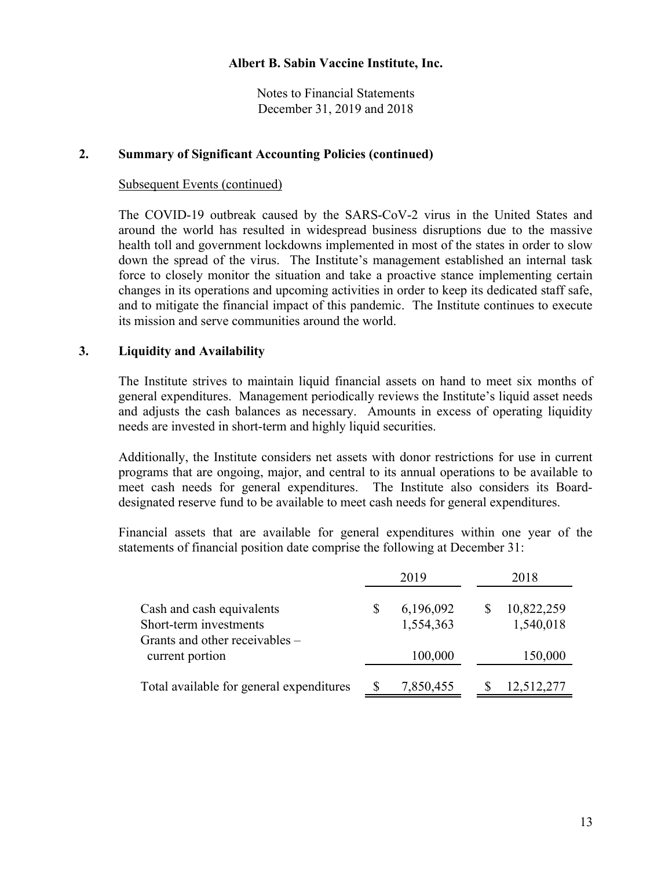Notes to Financial Statements December 31, 2019 and 2018

### **2. Summary of Significant Accounting Policies (continued)**

#### Subsequent Events (continued)

The COVID-19 outbreak caused by the SARS-CoV-2 virus in the United States and around the world has resulted in widespread business disruptions due to the massive health toll and government lockdowns implemented in most of the states in order to slow down the spread of the virus. The Institute's management established an internal task force to closely monitor the situation and take a proactive stance implementing certain changes in its operations and upcoming activities in order to keep its dedicated staff safe, and to mitigate the financial impact of this pandemic. The Institute continues to execute its mission and serve communities around the world.

## **3. Liquidity and Availability**

The Institute strives to maintain liquid financial assets on hand to meet six months of general expenditures. Management periodically reviews the Institute's liquid asset needs and adjusts the cash balances as necessary. Amounts in excess of operating liquidity needs are invested in short-term and highly liquid securities.

Additionally, the Institute considers net assets with donor restrictions for use in current programs that are ongoing, major, and central to its annual operations to be available to meet cash needs for general expenditures. The Institute also considers its Boarddesignated reserve fund to be available to meet cash needs for general expenditures.

Financial assets that are available for general expenditures within one year of the statements of financial position date comprise the following at December 31:

|                                                                                       |   | 2019                   | 2018                    |
|---------------------------------------------------------------------------------------|---|------------------------|-------------------------|
| Cash and cash equivalents<br>Short-term investments<br>Grants and other receivables – | S | 6,196,092<br>1,554,363 | 10,822,259<br>1,540,018 |
| current portion                                                                       |   | 100,000                | 150,000                 |
| Total available for general expenditures                                              |   | 7,850,455              | 12,512,277              |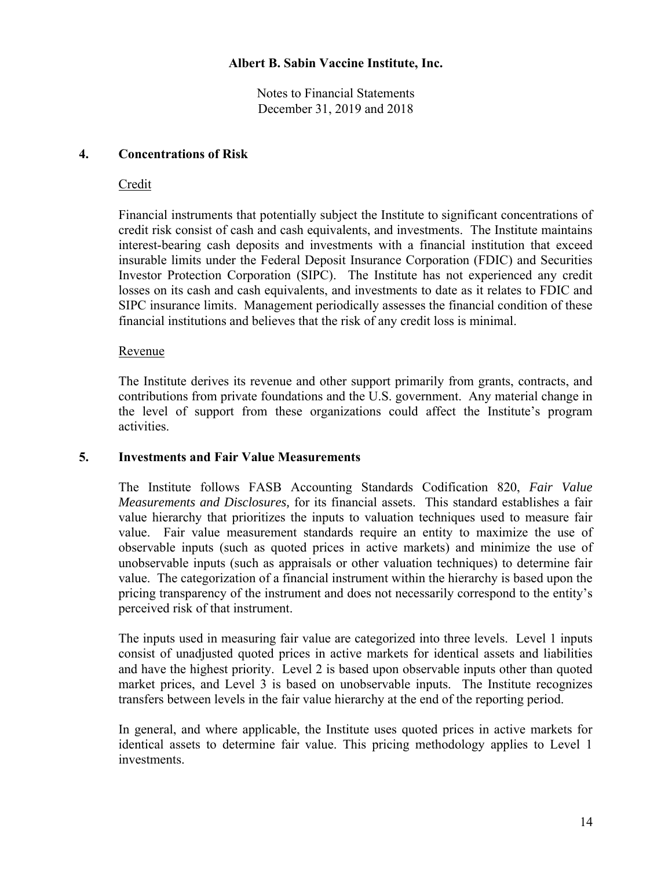Notes to Financial Statements December 31, 2019 and 2018

## **4. Concentrations of Risk**

## Credit

Financial instruments that potentially subject the Institute to significant concentrations of credit risk consist of cash and cash equivalents, and investments. The Institute maintains interest-bearing cash deposits and investments with a financial institution that exceed insurable limits under the Federal Deposit Insurance Corporation (FDIC) and Securities Investor Protection Corporation (SIPC). The Institute has not experienced any credit losses on its cash and cash equivalents, and investments to date as it relates to FDIC and SIPC insurance limits. Management periodically assesses the financial condition of these financial institutions and believes that the risk of any credit loss is minimal.

## Revenue

The Institute derives its revenue and other support primarily from grants, contracts, and contributions from private foundations and the U.S. government. Any material change in the level of support from these organizations could affect the Institute's program activities.

## **5. Investments and Fair Value Measurements**

The Institute follows FASB Accounting Standards Codification 820, *Fair Value Measurements and Disclosures,* for its financial assets. This standard establishes a fair value hierarchy that prioritizes the inputs to valuation techniques used to measure fair value. Fair value measurement standards require an entity to maximize the use of observable inputs (such as quoted prices in active markets) and minimize the use of unobservable inputs (such as appraisals or other valuation techniques) to determine fair value. The categorization of a financial instrument within the hierarchy is based upon the pricing transparency of the instrument and does not necessarily correspond to the entity's perceived risk of that instrument.

The inputs used in measuring fair value are categorized into three levels. Level 1 inputs consist of unadjusted quoted prices in active markets for identical assets and liabilities and have the highest priority. Level 2 is based upon observable inputs other than quoted market prices, and Level 3 is based on unobservable inputs. The Institute recognizes transfers between levels in the fair value hierarchy at the end of the reporting period.

In general, and where applicable, the Institute uses quoted prices in active markets for identical assets to determine fair value. This pricing methodology applies to Level 1 investments.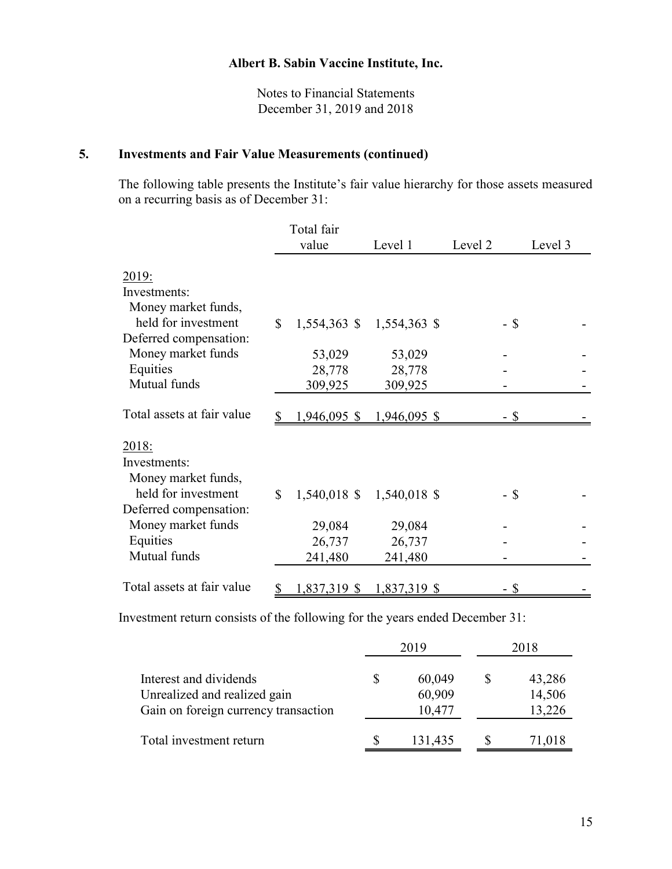Notes to Financial Statements December 31, 2019 and 2018

## **5. Investments and Fair Value Measurements (continued)**

The following table presents the Institute's fair value hierarchy for those assets measured on a recurring basis as of December 31:

|                                     | Total fair     |              |         |         |
|-------------------------------------|----------------|--------------|---------|---------|
|                                     | value          | Level 1      | Level 2 | Level 3 |
| <u>2019:</u>                        |                |              |         |         |
| Investments:                        |                |              |         |         |
| Money market funds,                 |                |              |         |         |
| held for investment<br>$\mathbb{S}$ | $1,554,363$ \$ | 1,554,363 \$ | $-$ \$  |         |
| Deferred compensation:              |                |              |         |         |
| Money market funds                  | 53,029         | 53,029       |         |         |
| Equities                            | 28,778         | 28,778       |         |         |
| Mutual funds                        | 309,925        | 309,925      |         |         |
|                                     |                |              |         |         |
| Total assets at fair value          | $1,946,095$ \$ | 1,946,095 \$ | - \$    |         |
| 2018:                               |                |              |         |         |
| Investments:                        |                |              |         |         |
| Money market funds,                 |                |              |         |         |
| held for investment<br>\$           |                |              |         |         |
| Deferred compensation:              | $1,540,018$ \$ | 1,540,018 \$ | - \$    |         |
|                                     |                |              |         |         |
| Money market funds                  | 29,084         | 29,084       |         |         |
| Equities                            | 26,737         | 26,737       |         |         |
| Mutual funds                        | 241,480        | 241,480      |         |         |
|                                     |                |              |         |         |
| Total assets at fair value          | 1,837,319 \$   | 1,837,319 \$ |         |         |

Investment return consists of the following for the years ended December 31:

|                                                                      | 2019             | 2018 |                  |  |
|----------------------------------------------------------------------|------------------|------|------------------|--|
| Interest and dividends                                               | 60,049           |      | 43,286           |  |
| Unrealized and realized gain<br>Gain on foreign currency transaction | 60,909<br>10,477 |      | 14,506<br>13,226 |  |
| Total investment return                                              | 131,435          |      | 71,018           |  |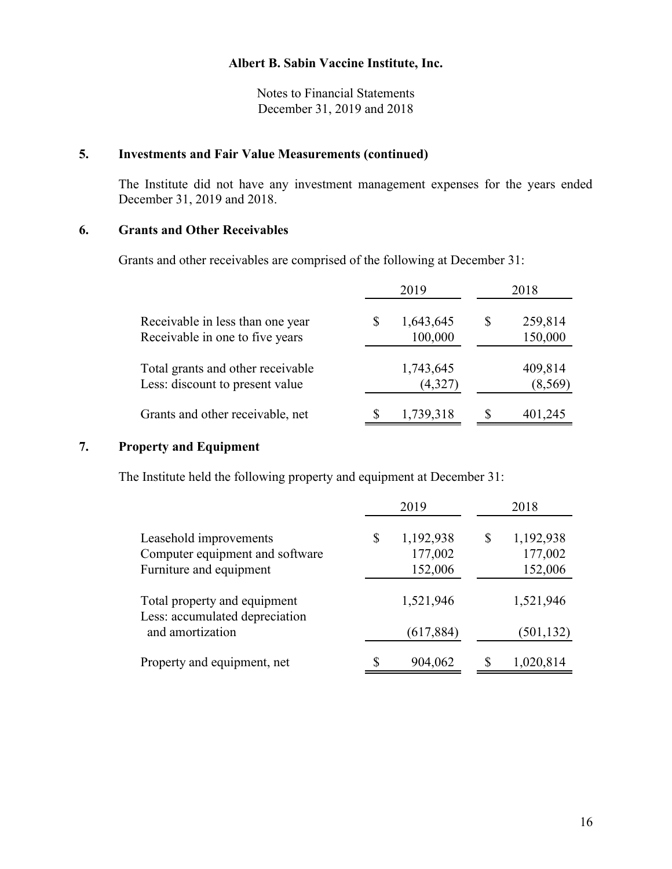Notes to Financial Statements December 31, 2019 and 2018

## **5. Investments and Fair Value Measurements (continued)**

The Institute did not have any investment management expenses for the years ended December 31, 2019 and 2018.

## **6. Grants and Other Receivables**

Grants and other receivables are comprised of the following at December 31:

|                                                                      | 2019                       |   | 2018                |
|----------------------------------------------------------------------|----------------------------|---|---------------------|
| Receivable in less than one year<br>Receivable in one to five years  | \$<br>1,643,645<br>100,000 | S | 259,814<br>150,000  |
| Total grants and other receivable<br>Less: discount to present value | 1,743,645<br>(4,327)       |   | 409,814<br>(8, 569) |
| Grants and other receivable, net                                     | 1,739,318                  |   | 401,245             |

## **7. Property and Equipment**

The Institute held the following property and equipment at December 31:

|                                                                | 2019            | 2018            |
|----------------------------------------------------------------|-----------------|-----------------|
| Leasehold improvements                                         | \$<br>1,192,938 | \$<br>1,192,938 |
| Computer equipment and software                                | 177,002         | 177,002         |
| Furniture and equipment                                        | 152,006         | 152,006         |
| Total property and equipment<br>Less: accumulated depreciation | 1,521,946       | 1,521,946       |
| and amortization                                               | (617, 884)      | (501, 132)      |
| Property and equipment, net                                    | 904,062         | 1,020,814       |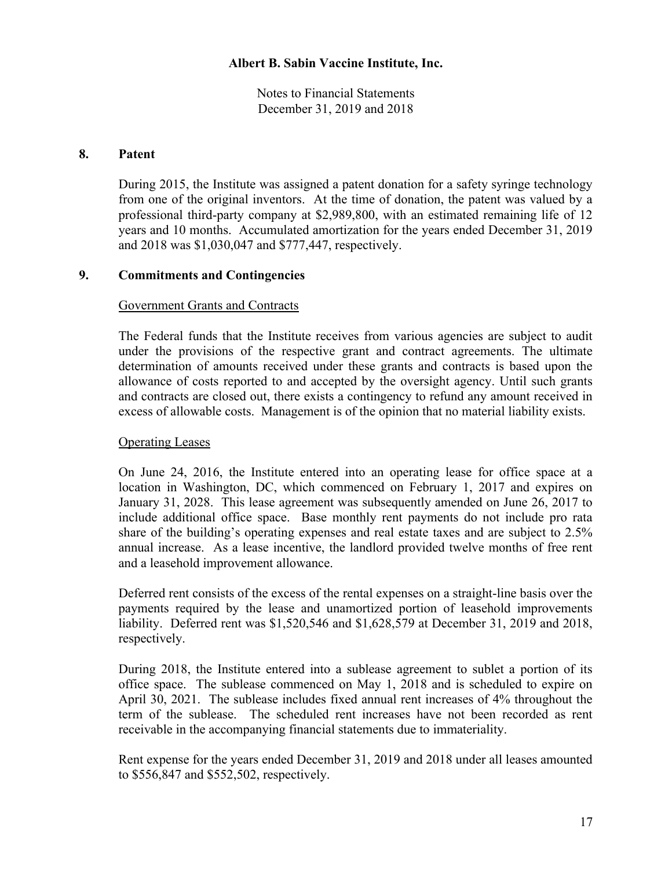Notes to Financial Statements December 31, 2019 and 2018

### **8. Patent**

During 2015, the Institute was assigned a patent donation for a safety syringe technology from one of the original inventors. At the time of donation, the patent was valued by a professional third-party company at \$2,989,800, with an estimated remaining life of 12 years and 10 months. Accumulated amortization for the years ended December 31, 2019 and 2018 was \$1,030,047 and \$777,447, respectively.

## **9. Commitments and Contingencies**

#### Government Grants and Contracts

The Federal funds that the Institute receives from various agencies are subject to audit under the provisions of the respective grant and contract agreements. The ultimate determination of amounts received under these grants and contracts is based upon the allowance of costs reported to and accepted by the oversight agency. Until such grants and contracts are closed out, there exists a contingency to refund any amount received in excess of allowable costs. Management is of the opinion that no material liability exists.

## Operating Leases

On June 24, 2016, the Institute entered into an operating lease for office space at a location in Washington, DC, which commenced on February 1, 2017 and expires on January 31, 2028. This lease agreement was subsequently amended on June 26, 2017 to include additional office space. Base monthly rent payments do not include pro rata share of the building's operating expenses and real estate taxes and are subject to 2.5% annual increase. As a lease incentive, the landlord provided twelve months of free rent and a leasehold improvement allowance.

Deferred rent consists of the excess of the rental expenses on a straight-line basis over the payments required by the lease and unamortized portion of leasehold improvements liability. Deferred rent was \$1,520,546 and \$1,628,579 at December 31, 2019 and 2018, respectively.

During 2018, the Institute entered into a sublease agreement to sublet a portion of its office space. The sublease commenced on May 1, 2018 and is scheduled to expire on April 30, 2021. The sublease includes fixed annual rent increases of 4% throughout the term of the sublease. The scheduled rent increases have not been recorded as rent receivable in the accompanying financial statements due to immateriality.

Rent expense for the years ended December 31, 2019 and 2018 under all leases amounted to \$556,847 and \$552,502, respectively.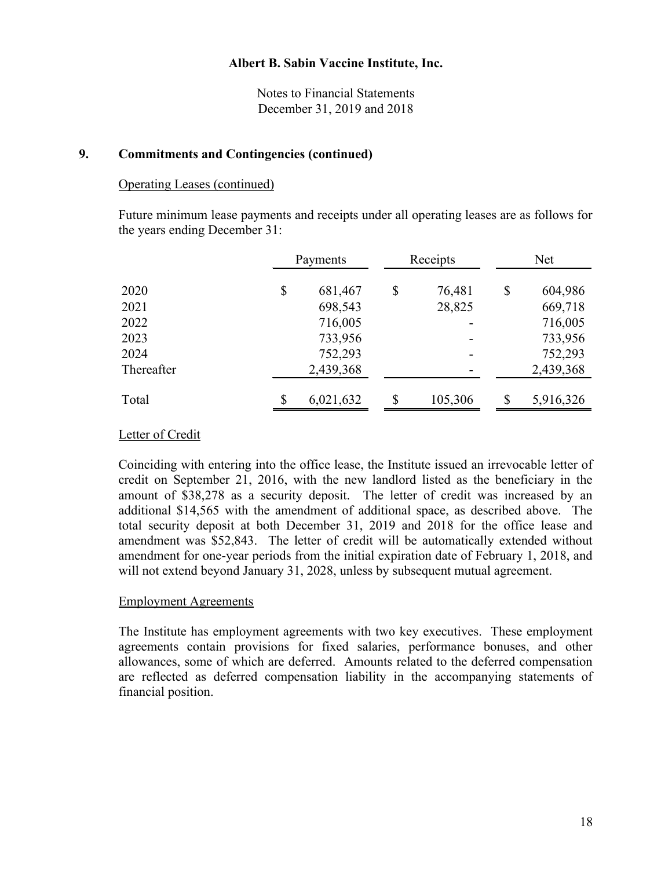Notes to Financial Statements December 31, 2019 and 2018

### **9. Commitments and Contingencies (continued)**

#### Operating Leases (continued)

Future minimum lease payments and receipts under all operating leases are as follows for the years ending December 31:

|            | Payments      |    | Receipts | Net             |  |  |
|------------|---------------|----|----------|-----------------|--|--|
| 2020       | \$<br>681,467 | \$ | 76,481   | \$<br>604,986   |  |  |
| 2021       | 698,543       |    | 28,825   | 669,718         |  |  |
| 2022       | 716,005       |    |          | 716,005         |  |  |
| 2023       | 733,956       |    | -        | 733,956         |  |  |
| 2024       | 752,293       |    | -        | 752,293         |  |  |
| Thereafter | 2,439,368     |    |          | 2,439,368       |  |  |
| Total      | 6,021,632     | \$ | 105,306  | \$<br>5,916,326 |  |  |

#### Letter of Credit

Coinciding with entering into the office lease, the Institute issued an irrevocable letter of credit on September 21, 2016, with the new landlord listed as the beneficiary in the amount of \$38,278 as a security deposit. The letter of credit was increased by an additional \$14,565 with the amendment of additional space, as described above. The total security deposit at both December 31, 2019 and 2018 for the office lease and amendment was \$52,843. The letter of credit will be automatically extended without amendment for one-year periods from the initial expiration date of February 1, 2018, and will not extend beyond January 31, 2028, unless by subsequent mutual agreement.

#### Employment Agreements

The Institute has employment agreements with two key executives. These employment agreements contain provisions for fixed salaries, performance bonuses, and other allowances, some of which are deferred. Amounts related to the deferred compensation are reflected as deferred compensation liability in the accompanying statements of financial position.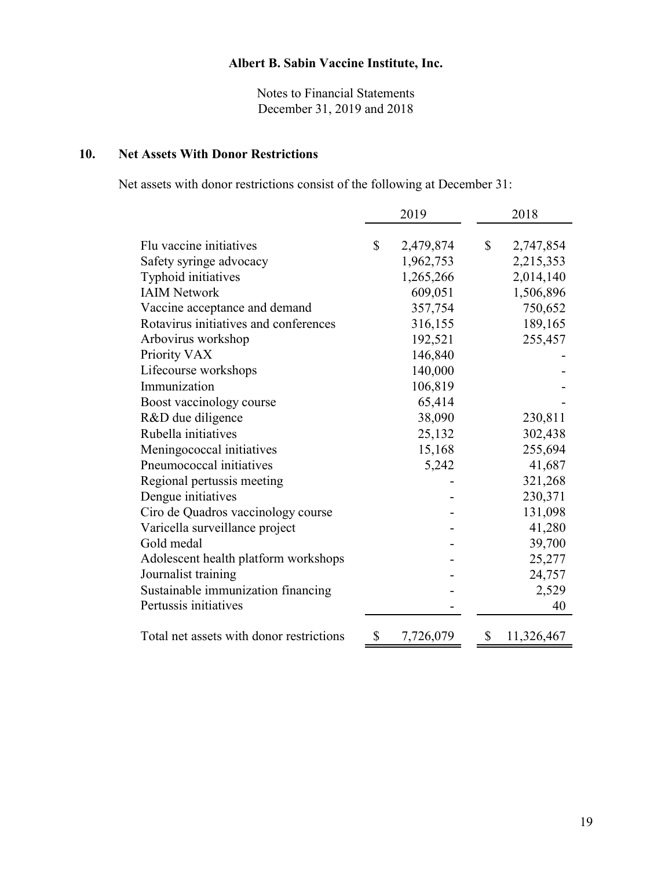Notes to Financial Statements December 31, 2019 and 2018

## **10. Net Assets With Donor Restrictions**

Net assets with donor restrictions consist of the following at December 31:

|                                          | 2019 |           | 2018 |            |
|------------------------------------------|------|-----------|------|------------|
|                                          |      |           |      |            |
| Flu vaccine initiatives                  | \$   | 2,479,874 | \$   | 2,747,854  |
| Safety syringe advocacy                  |      | 1,962,753 |      | 2,215,353  |
| Typhoid initiatives                      |      | 1,265,266 |      | 2,014,140  |
| <b>IAIM Network</b>                      |      | 609,051   |      | 1,506,896  |
| Vaccine acceptance and demand            |      | 357,754   |      | 750,652    |
| Rotavirus initiatives and conferences    |      | 316,155   |      | 189,165    |
| Arbovirus workshop                       |      | 192,521   |      | 255,457    |
| Priority VAX                             |      | 146,840   |      |            |
| Lifecourse workshops                     |      | 140,000   |      |            |
| Immunization                             |      | 106,819   |      |            |
| Boost vaccinology course                 |      | 65,414    |      |            |
| R&D due diligence                        |      | 38,090    |      | 230,811    |
| Rubella initiatives                      |      | 25,132    |      | 302,438    |
| Meningococcal initiatives                |      | 15,168    |      | 255,694    |
| Pneumococcal initiatives                 |      | 5,242     |      | 41,687     |
| Regional pertussis meeting               |      |           |      | 321,268    |
| Dengue initiatives                       |      |           |      | 230,371    |
| Ciro de Quadros vaccinology course       |      |           |      | 131,098    |
| Varicella surveillance project           |      |           |      | 41,280     |
| Gold medal                               |      |           |      | 39,700     |
| Adolescent health platform workshops     |      |           |      | 25,277     |
| Journalist training                      |      |           |      | 24,757     |
| Sustainable immunization financing       |      |           |      | 2,529      |
| Pertussis initiatives                    |      |           |      | 40         |
| Total net assets with donor restrictions | \$   | 7,726,079 | \$   | 11,326,467 |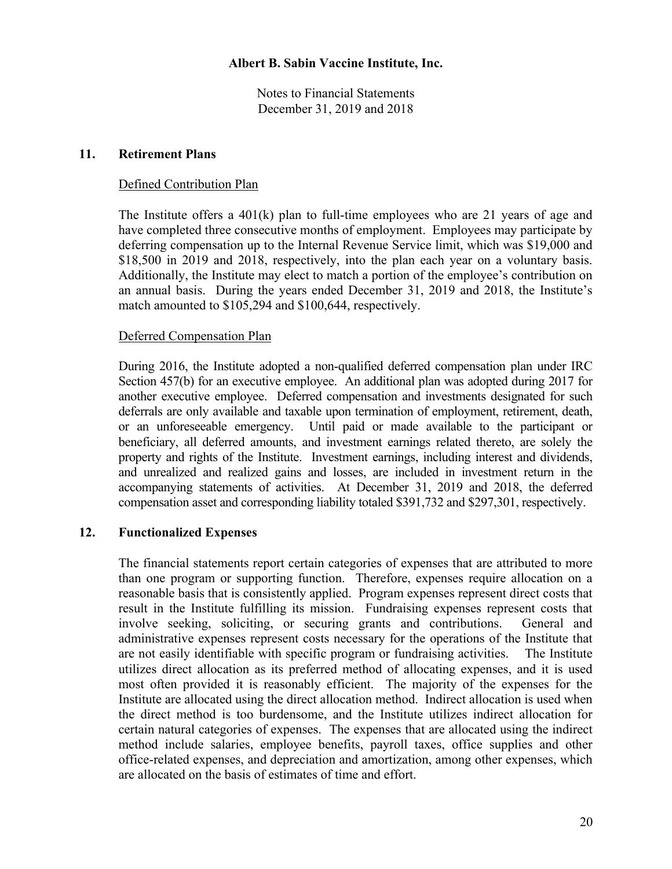Notes to Financial Statements December 31, 2019 and 2018

#### **11. Retirement Plans**

### Defined Contribution Plan

The Institute offers a 401(k) plan to full-time employees who are 21 years of age and have completed three consecutive months of employment. Employees may participate by deferring compensation up to the Internal Revenue Service limit, which was \$19,000 and \$18,500 in 2019 and 2018, respectively, into the plan each year on a voluntary basis. Additionally, the Institute may elect to match a portion of the employee's contribution on an annual basis. During the years ended December 31, 2019 and 2018, the Institute's match amounted to \$105,294 and \$100,644, respectively.

#### Deferred Compensation Plan

During 2016, the Institute adopted a non-qualified deferred compensation plan under IRC Section 457(b) for an executive employee. An additional plan was adopted during 2017 for another executive employee. Deferred compensation and investments designated for such deferrals are only available and taxable upon termination of employment, retirement, death, or an unforeseeable emergency. Until paid or made available to the participant or beneficiary, all deferred amounts, and investment earnings related thereto, are solely the property and rights of the Institute. Investment earnings, including interest and dividends, and unrealized and realized gains and losses, are included in investment return in the accompanying statements of activities. At December 31, 2019 and 2018, the deferred compensation asset and corresponding liability totaled \$391,732 and \$297,301, respectively.

## **12. Functionalized Expenses**

The financial statements report certain categories of expenses that are attributed to more than one program or supporting function. Therefore, expenses require allocation on a reasonable basis that is consistently applied. Program expenses represent direct costs that result in the Institute fulfilling its mission. Fundraising expenses represent costs that involve seeking, soliciting, or securing grants and contributions. General and administrative expenses represent costs necessary for the operations of the Institute that are not easily identifiable with specific program or fundraising activities. The Institute utilizes direct allocation as its preferred method of allocating expenses, and it is used most often provided it is reasonably efficient. The majority of the expenses for the Institute are allocated using the direct allocation method. Indirect allocation is used when the direct method is too burdensome, and the Institute utilizes indirect allocation for certain natural categories of expenses. The expenses that are allocated using the indirect method include salaries, employee benefits, payroll taxes, office supplies and other office-related expenses, and depreciation and amortization, among other expenses, which are allocated on the basis of estimates of time and effort.